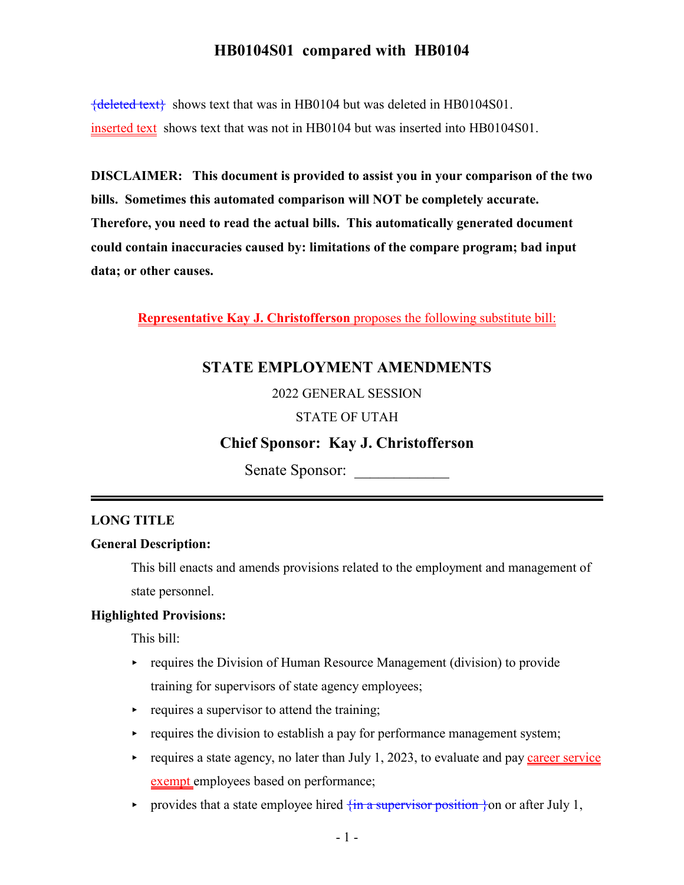${deleted text}$  shows text that was in HB0104 but was deleted in HB0104S01. inserted text shows text that was not in HB0104 but was inserted into HB0104S01.

**DISCLAIMER: This document is provided to assist you in your comparison of the two bills. Sometimes this automated comparison will NOT be completely accurate. Therefore, you need to read the actual bills. This automatically generated document could contain inaccuracies caused by: limitations of the compare program; bad input data; or other causes.**

**Representative Kay J. Christofferson** proposes the following substitute bill:

# **STATE EMPLOYMENT AMENDMENTS**

2022 GENERAL SESSION

### STATE OF UTAH

## **Chief Sponsor: Kay J. Christofferson**

Senate Sponsor:

### **LONG TITLE**

### **General Description:**

This bill enacts and amends provisions related to the employment and management of state personnel.

### **Highlighted Provisions:**

This bill:

- $\rightarrow$  requires the Division of Human Resource Management (division) to provide training for supervisors of state agency employees;
- $\rightarrow$  requires a supervisor to attend the training;
- $\rightarrow$  requires the division to establish a pay for performance management system;
- requires a state agency, no later than July 1, 2023, to evaluate and pay career service exempt employees based on performance;
- provides that a state employee hired  $\{\text{in a supervisor position }\}$  on or after July 1,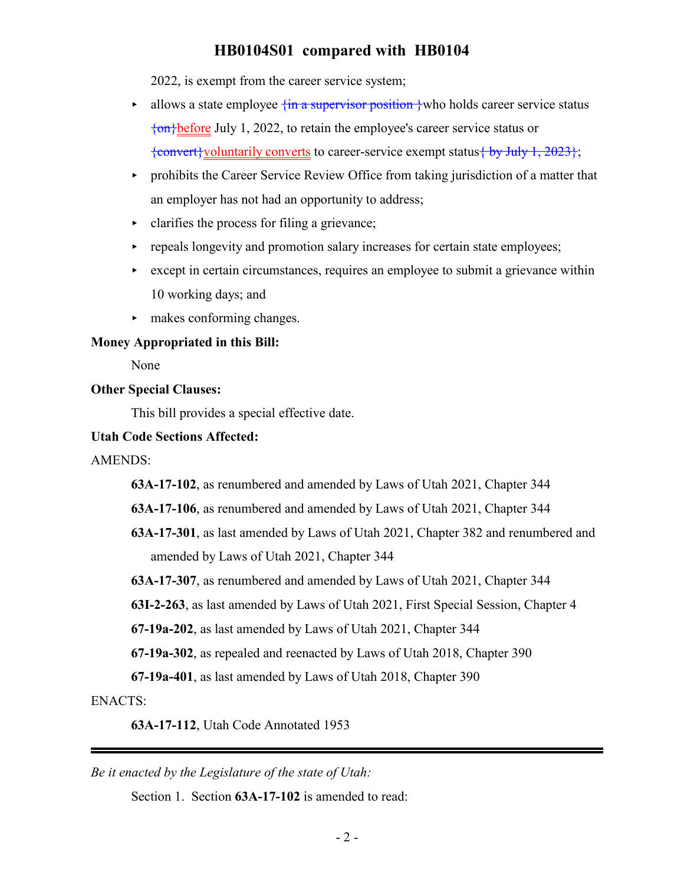2022, is exempt from the career service system;

- $\triangleright$  allows a state employee  $\{\text{in a supervisor position}\}\$ who holds career service status {on}before July 1, 2022, to retain the employee's career service status or  $\{\text{convert}\}\$ voluntarily converts</u> to career-service exempt status $\{\text{by July 1, 2023}\}\$ ;
- $\rightarrow$  prohibits the Career Service Review Office from taking jurisdiction of a matter that an employer has not had an opportunity to address;
- < clarifies the process for filing a grievance;
- repeals longevity and promotion salary increases for certain state employees;
- except in certain circumstances, requires an employee to submit a grievance within 10 working days; and
- $\blacktriangleright$  makes conforming changes.

### **Money Appropriated in this Bill:**

None

### **Other Special Clauses:**

This bill provides a special effective date.

### **Utah Code Sections Affected:**

AMENDS:

**63A-17-102**, as renumbered and amended by Laws of Utah 2021, Chapter 344

**63A-17-106**, as renumbered and amended by Laws of Utah 2021, Chapter 344

**63A-17-301**, as last amended by Laws of Utah 2021, Chapter 382 and renumbered and amended by Laws of Utah 2021, Chapter 344

**63A-17-307**, as renumbered and amended by Laws of Utah 2021, Chapter 344

**63I-2-263**, as last amended by Laws of Utah 2021, First Special Session, Chapter 4

**67-19a-202**, as last amended by Laws of Utah 2021, Chapter 344

**67-19a-302**, as repealed and reenacted by Laws of Utah 2018, Chapter 390

**67-19a-401**, as last amended by Laws of Utah 2018, Chapter 390

ENACTS:

**63A-17-112**, Utah Code Annotated 1953

*Be it enacted by the Legislature of the state of Utah:*

Section 1. Section **63A-17-102** is amended to read: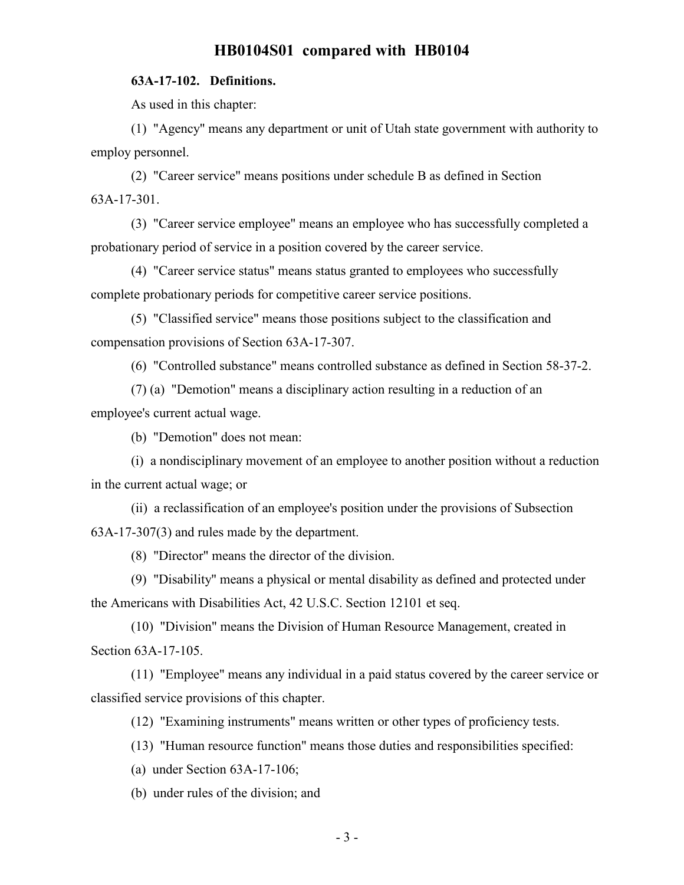### **63A-17-102. Definitions.**

As used in this chapter:

(1) "Agency" means any department or unit of Utah state government with authority to employ personnel.

(2) "Career service" means positions under schedule B as defined in Section 63A-17-301.

(3) "Career service employee" means an employee who has successfully completed a probationary period of service in a position covered by the career service.

(4) "Career service status" means status granted to employees who successfully complete probationary periods for competitive career service positions.

(5) "Classified service" means those positions subject to the classification and compensation provisions of Section 63A-17-307.

(6) "Controlled substance" means controlled substance as defined in Section 58-37-2.

(7) (a) "Demotion" means a disciplinary action resulting in a reduction of an employee's current actual wage.

(b) "Demotion" does not mean:

(i) a nondisciplinary movement of an employee to another position without a reduction in the current actual wage; or

(ii) a reclassification of an employee's position under the provisions of Subsection 63A-17-307(3) and rules made by the department.

(8) "Director" means the director of the division.

(9) "Disability" means a physical or mental disability as defined and protected under the Americans with Disabilities Act, 42 U.S.C. Section 12101 et seq.

(10) "Division" means the Division of Human Resource Management, created in Section 63A-17-105.

(11) "Employee" means any individual in a paid status covered by the career service or classified service provisions of this chapter.

(12) "Examining instruments" means written or other types of proficiency tests.

(13) "Human resource function" means those duties and responsibilities specified:

(a) under Section 63A-17-106;

(b) under rules of the division; and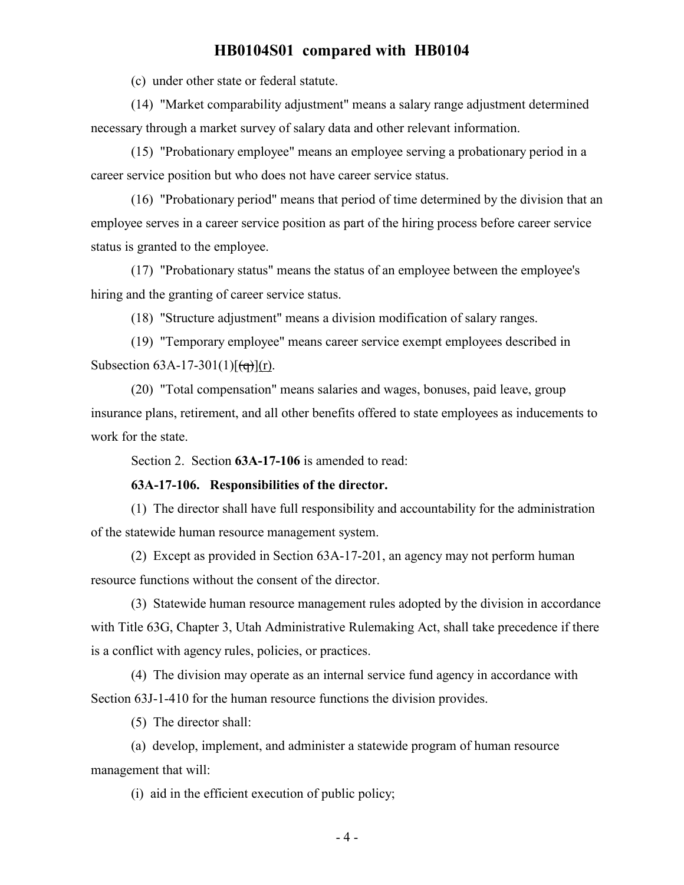(c) under other state or federal statute.

(14) "Market comparability adjustment" means a salary range adjustment determined necessary through a market survey of salary data and other relevant information.

(15) "Probationary employee" means an employee serving a probationary period in a career service position but who does not have career service status.

(16) "Probationary period" means that period of time determined by the division that an employee serves in a career service position as part of the hiring process before career service status is granted to the employee.

(17) "Probationary status" means the status of an employee between the employee's hiring and the granting of career service status.

(18) "Structure adjustment" means a division modification of salary ranges.

(19) "Temporary employee" means career service exempt employees described in Subsection  $63A-17-301(1)[(q)](r)$ .

(20) "Total compensation" means salaries and wages, bonuses, paid leave, group insurance plans, retirement, and all other benefits offered to state employees as inducements to work for the state.

Section 2. Section **63A-17-106** is amended to read:

### **63A-17-106. Responsibilities of the director.**

(1) The director shall have full responsibility and accountability for the administration of the statewide human resource management system.

(2) Except as provided in Section 63A-17-201, an agency may not perform human resource functions without the consent of the director.

(3) Statewide human resource management rules adopted by the division in accordance with Title 63G, Chapter 3, Utah Administrative Rulemaking Act, shall take precedence if there is a conflict with agency rules, policies, or practices.

(4) The division may operate as an internal service fund agency in accordance with Section 63J-1-410 for the human resource functions the division provides.

(5) The director shall:

(a) develop, implement, and administer a statewide program of human resource management that will:

(i) aid in the efficient execution of public policy;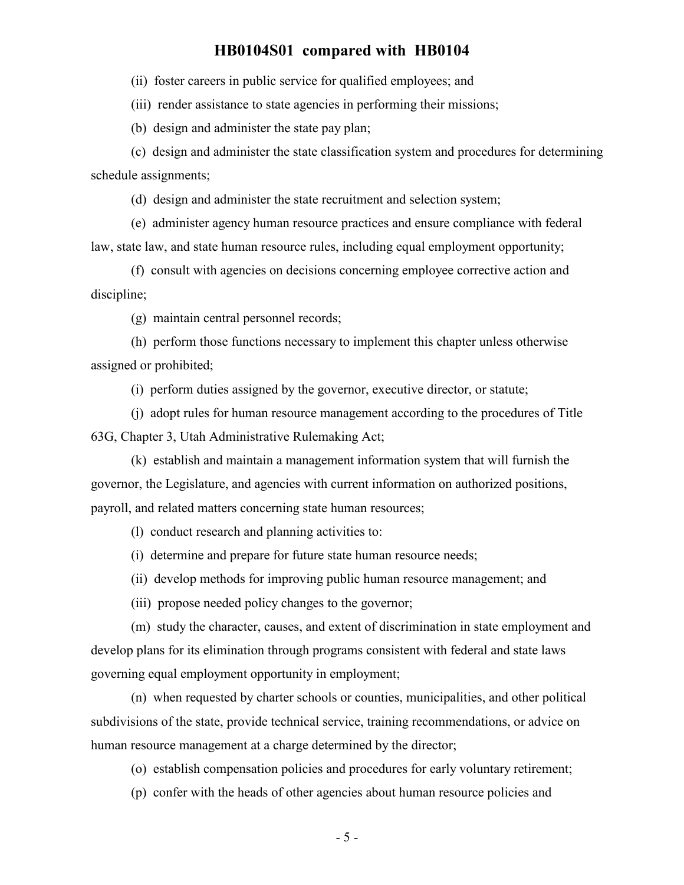(ii) foster careers in public service for qualified employees; and

(iii) render assistance to state agencies in performing their missions;

(b) design and administer the state pay plan;

(c) design and administer the state classification system and procedures for determining schedule assignments;

(d) design and administer the state recruitment and selection system;

(e) administer agency human resource practices and ensure compliance with federal law, state law, and state human resource rules, including equal employment opportunity;

(f) consult with agencies on decisions concerning employee corrective action and discipline;

(g) maintain central personnel records;

(h) perform those functions necessary to implement this chapter unless otherwise assigned or prohibited;

(i) perform duties assigned by the governor, executive director, or statute;

(j) adopt rules for human resource management according to the procedures of Title 63G, Chapter 3, Utah Administrative Rulemaking Act;

(k) establish and maintain a management information system that will furnish the governor, the Legislature, and agencies with current information on authorized positions, payroll, and related matters concerning state human resources;

(l) conduct research and planning activities to:

(i) determine and prepare for future state human resource needs;

(ii) develop methods for improving public human resource management; and

(iii) propose needed policy changes to the governor;

(m) study the character, causes, and extent of discrimination in state employment and develop plans for its elimination through programs consistent with federal and state laws governing equal employment opportunity in employment;

(n) when requested by charter schools or counties, municipalities, and other political subdivisions of the state, provide technical service, training recommendations, or advice on human resource management at a charge determined by the director;

(o) establish compensation policies and procedures for early voluntary retirement;

(p) confer with the heads of other agencies about human resource policies and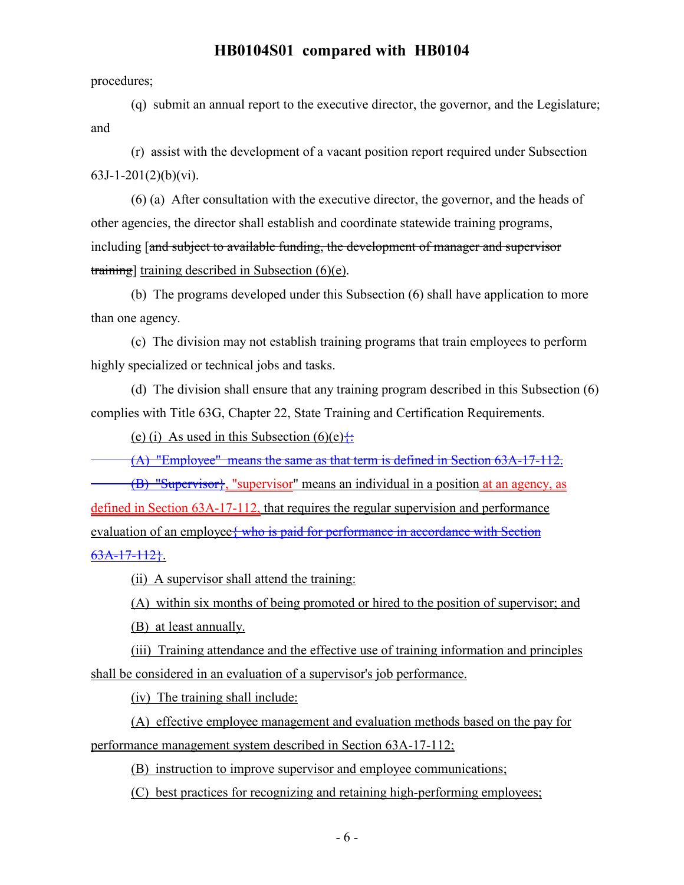procedures;

(q) submit an annual report to the executive director, the governor, and the Legislature; and

(r) assist with the development of a vacant position report required under Subsection  $63J-1-201(2)(b)(vi)$ .

(6) (a) After consultation with the executive director, the governor, and the heads of other agencies, the director shall establish and coordinate statewide training programs, including [and subject to available funding, the development of manager and supervisor training] training described in Subsection (6)(e).

(b) The programs developed under this Subsection (6) shall have application to more than one agency.

(c) The division may not establish training programs that train employees to perform highly specialized or technical jobs and tasks.

(d) The division shall ensure that any training program described in this Subsection (6) complies with Title 63G, Chapter 22, State Training and Certification Requirements.

(e) (i) As used in this Subsection (6)(e) $\ddot{\ddot{}}$ :

(A) "Employee" means the same as that term is defined in Section 63A-17-112.

(B) "Supervisor}, "supervisor" means an individual in a position at an agency, as defined in Section 63A-17-112, that requires the regular supervision and performance evaluation of an employee { who is paid for performance in accordance with Section 63A-17-112}.

(ii) A supervisor shall attend the training:

(A) within six months of being promoted or hired to the position of supervisor; and

(B) at least annually.

(iii) Training attendance and the effective use of training information and principles shall be considered in an evaluation of a supervisor's job performance.

(iv) The training shall include:

(A) effective employee management and evaluation methods based on the pay for performance management system described in Section 63A-17-112;

(B) instruction to improve supervisor and employee communications;

(C) best practices for recognizing and retaining high-performing employees;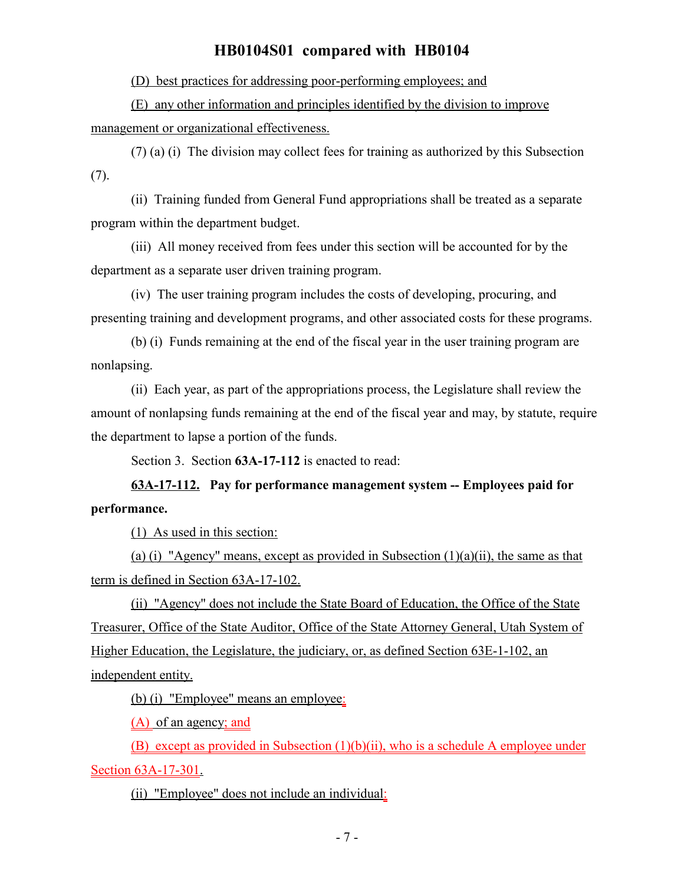(D) best practices for addressing poor-performing employees; and

(E) any other information and principles identified by the division to improve management or organizational effectiveness.

(7) (a) (i) The division may collect fees for training as authorized by this Subsection (7).

(ii) Training funded from General Fund appropriations shall be treated as a separate program within the department budget.

(iii) All money received from fees under this section will be accounted for by the department as a separate user driven training program.

(iv) The user training program includes the costs of developing, procuring, and presenting training and development programs, and other associated costs for these programs.

(b) (i) Funds remaining at the end of the fiscal year in the user training program are nonlapsing.

(ii) Each year, as part of the appropriations process, the Legislature shall review the amount of nonlapsing funds remaining at the end of the fiscal year and may, by statute, require the department to lapse a portion of the funds.

Section 3. Section **63A-17-112** is enacted to read:

**63A-17-112. Pay for performance management system -- Employees paid for performance.**

(1) As used in this section:

(a) (i) "Agency" means, except as provided in Subsection  $(1)(a)(ii)$ , the same as that term is defined in Section 63A-17-102.

(ii) "Agency" does not include the State Board of Education, the Office of the State Treasurer, Office of the State Auditor, Office of the State Attorney General, Utah System of Higher Education, the Legislature, the judiciary, or, as defined Section 63E-1-102, an independent entity.

(b) (i) "Employee" means an employee:

(A) of an agency; and

(B) except as provided in Subsection (1)(b)(ii), who is a schedule A employee under Section 63A-17-301.

(ii) "Employee" does not include an individual: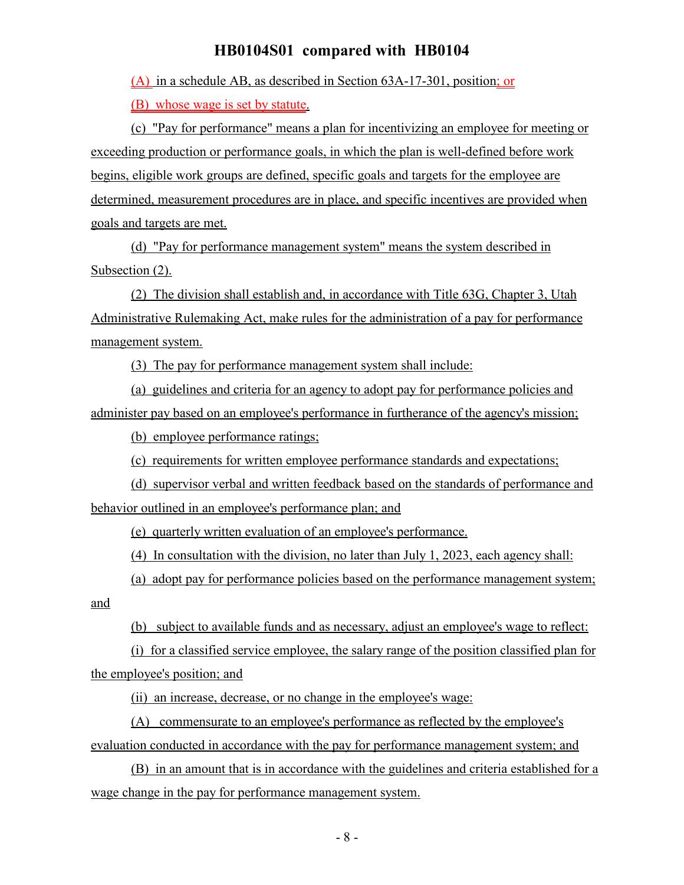(A) in a schedule AB, as described in Section 63A-17-301, position; or

(B) whose wage is set by statute.

(c) "Pay for performance" means a plan for incentivizing an employee for meeting or exceeding production or performance goals, in which the plan is well-defined before work begins, eligible work groups are defined, specific goals and targets for the employee are determined, measurement procedures are in place, and specific incentives are provided when goals and targets are met.

(d) "Pay for performance management system" means the system described in Subsection  $(2)$ .

(2) The division shall establish and, in accordance with Title 63G, Chapter 3, Utah Administrative Rulemaking Act, make rules for the administration of a pay for performance management system.

(3) The pay for performance management system shall include:

(a) guidelines and criteria for an agency to adopt pay for performance policies and administer pay based on an employee's performance in furtherance of the agency's mission;

(b) employee performance ratings;

(c) requirements for written employee performance standards and expectations;

(d) supervisor verbal and written feedback based on the standards of performance and behavior outlined in an employee's performance plan; and

(e) quarterly written evaluation of an employee's performance.

(4) In consultation with the division, no later than July 1, 2023, each agency shall:

(a) adopt pay for performance policies based on the performance management system;

and

(b) subject to available funds and as necessary, adjust an employee's wage to reflect:

(i) for a classified service employee, the salary range of the position classified plan for the employee's position; and

(ii) an increase, decrease, or no change in the employee's wage:

(A) commensurate to an employee's performance as reflected by the employee's evaluation conducted in accordance with the pay for performance management system; and

(B) in an amount that is in accordance with the guidelines and criteria established for a wage change in the pay for performance management system.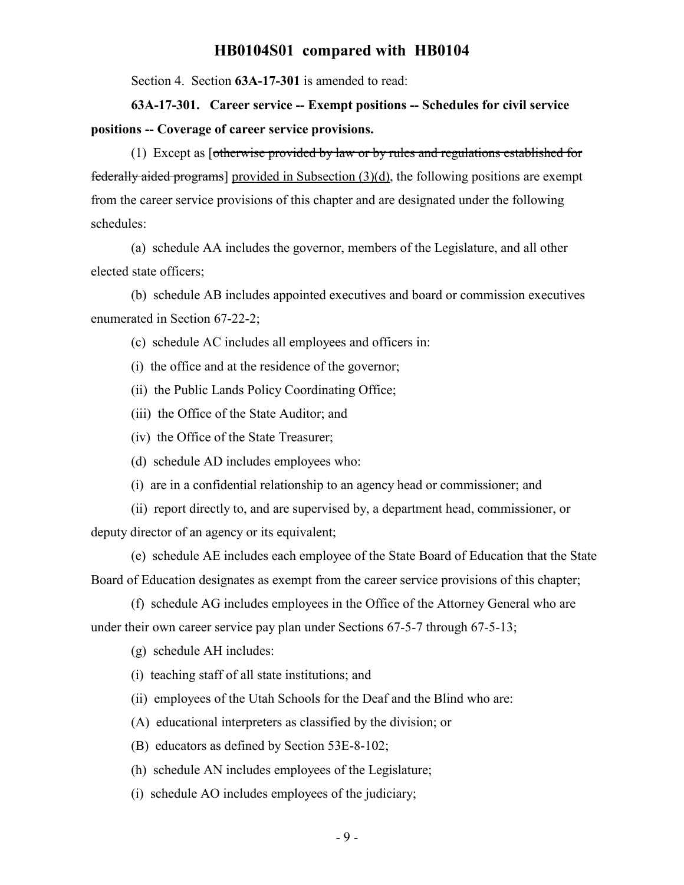Section 4. Section **63A-17-301** is amended to read:

**63A-17-301. Career service -- Exempt positions -- Schedules for civil service positions -- Coverage of career service provisions.**

(1) Except as [otherwise provided by law or by rules and regulations established for federally aided programs] provided in Subsection  $(3)(d)$ , the following positions are exempt from the career service provisions of this chapter and are designated under the following schedules:

(a) schedule AA includes the governor, members of the Legislature, and all other elected state officers;

(b) schedule AB includes appointed executives and board or commission executives enumerated in Section 67-22-2;

(c) schedule AC includes all employees and officers in:

(i) the office and at the residence of the governor;

(ii) the Public Lands Policy Coordinating Office;

(iii) the Office of the State Auditor; and

(iv) the Office of the State Treasurer;

(d) schedule AD includes employees who:

(i) are in a confidential relationship to an agency head or commissioner; and

(ii) report directly to, and are supervised by, a department head, commissioner, or deputy director of an agency or its equivalent;

(e) schedule AE includes each employee of the State Board of Education that the State Board of Education designates as exempt from the career service provisions of this chapter;

(f) schedule AG includes employees in the Office of the Attorney General who are under their own career service pay plan under Sections 67-5-7 through 67-5-13;

(g) schedule AH includes:

(i) teaching staff of all state institutions; and

(ii) employees of the Utah Schools for the Deaf and the Blind who are:

(A) educational interpreters as classified by the division; or

(B) educators as defined by Section 53E-8-102;

(h) schedule AN includes employees of the Legislature;

(i) schedule AO includes employees of the judiciary;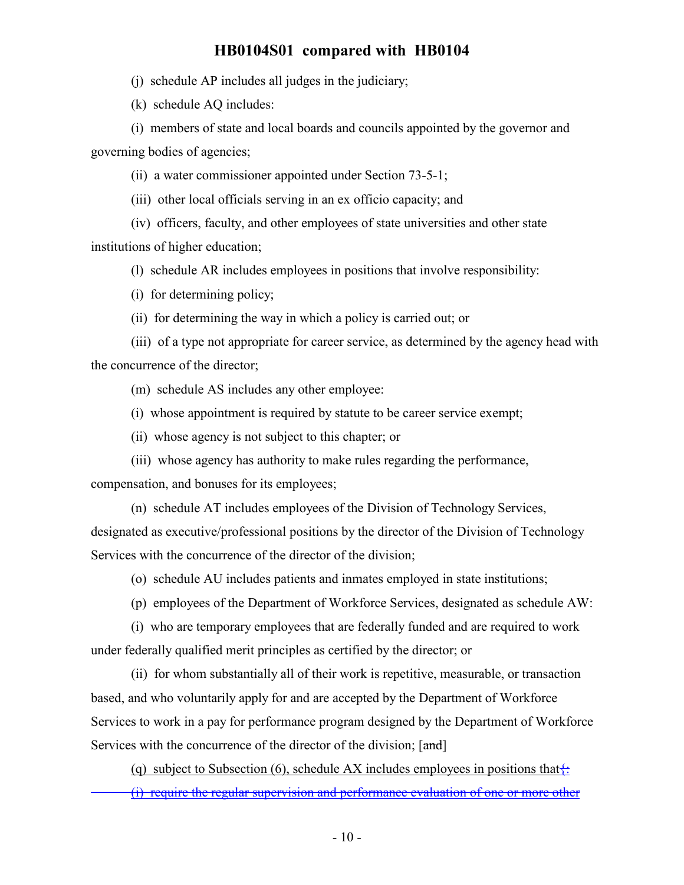(j) schedule AP includes all judges in the judiciary;

(k) schedule AQ includes:

(i) members of state and local boards and councils appointed by the governor and governing bodies of agencies;

(ii) a water commissioner appointed under Section 73-5-1;

(iii) other local officials serving in an ex officio capacity; and

(iv) officers, faculty, and other employees of state universities and other state institutions of higher education;

(l) schedule AR includes employees in positions that involve responsibility:

(i) for determining policy;

(ii) for determining the way in which a policy is carried out; or

(iii) of a type not appropriate for career service, as determined by the agency head with the concurrence of the director;

(m) schedule AS includes any other employee:

(i) whose appointment is required by statute to be career service exempt;

(ii) whose agency is not subject to this chapter; or

(iii) whose agency has authority to make rules regarding the performance, compensation, and bonuses for its employees;

(n) schedule AT includes employees of the Division of Technology Services, designated as executive/professional positions by the director of the Division of Technology Services with the concurrence of the director of the division;

(o) schedule AU includes patients and inmates employed in state institutions;

(p) employees of the Department of Workforce Services, designated as schedule AW:

(i) who are temporary employees that are federally funded and are required to work under federally qualified merit principles as certified by the director; or

(ii) for whom substantially all of their work is repetitive, measurable, or transaction based, and who voluntarily apply for and are accepted by the Department of Workforce Services to work in a pay for performance program designed by the Department of Workforce Services with the concurrence of the director of the division; [and]

(q) subject to Subsection (6), schedule AX includes employees in positions that  $\ddot{\cdot}$ :

(i) require the regular supervision and performance evaluation of one or more other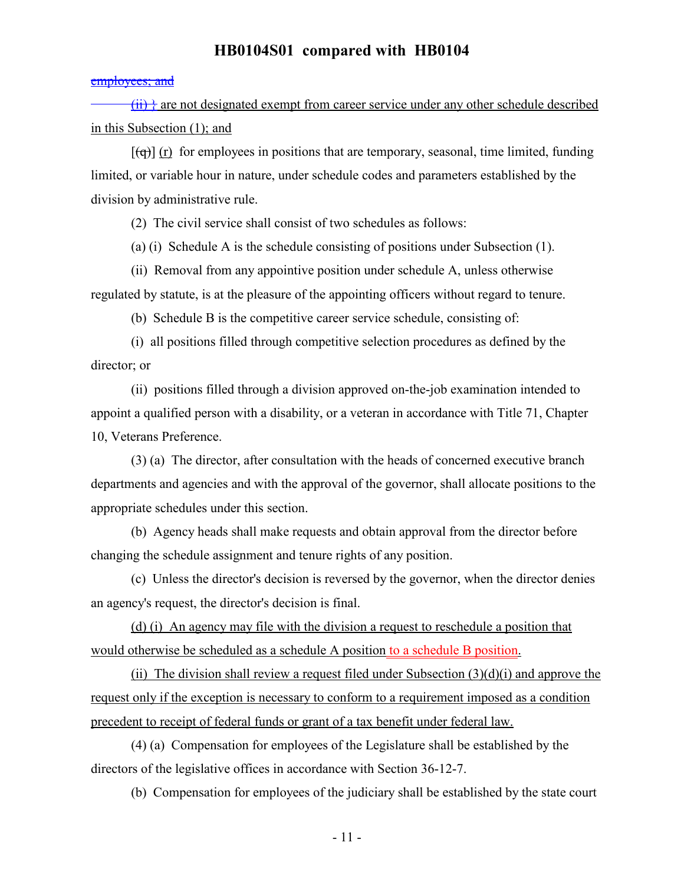#### employees; and

 $(ii)$  are not designated exempt from career service under any other schedule described in this Subsection (1); and

 $[(\theta)]$  (r) for employees in positions that are temporary, seasonal, time limited, funding limited, or variable hour in nature, under schedule codes and parameters established by the division by administrative rule.

(2) The civil service shall consist of two schedules as follows:

(a) (i) Schedule A is the schedule consisting of positions under Subsection (1).

(ii) Removal from any appointive position under schedule A, unless otherwise regulated by statute, is at the pleasure of the appointing officers without regard to tenure.

(b) Schedule B is the competitive career service schedule, consisting of:

(i) all positions filled through competitive selection procedures as defined by the director; or

(ii) positions filled through a division approved on-the-job examination intended to appoint a qualified person with a disability, or a veteran in accordance with Title 71, Chapter 10, Veterans Preference.

(3) (a) The director, after consultation with the heads of concerned executive branch departments and agencies and with the approval of the governor, shall allocate positions to the appropriate schedules under this section.

(b) Agency heads shall make requests and obtain approval from the director before changing the schedule assignment and tenure rights of any position.

(c) Unless the director's decision is reversed by the governor, when the director denies an agency's request, the director's decision is final.

(d) (i) An agency may file with the division a request to reschedule a position that would otherwise be scheduled as a schedule A position to a schedule B position.

(ii) The division shall review a request filed under Subsection  $(3)(d)(i)$  and approve the request only if the exception is necessary to conform to a requirement imposed as a condition precedent to receipt of federal funds or grant of a tax benefit under federal law.

(4) (a) Compensation for employees of the Legislature shall be established by the directors of the legislative offices in accordance with Section 36-12-7.

(b) Compensation for employees of the judiciary shall be established by the state court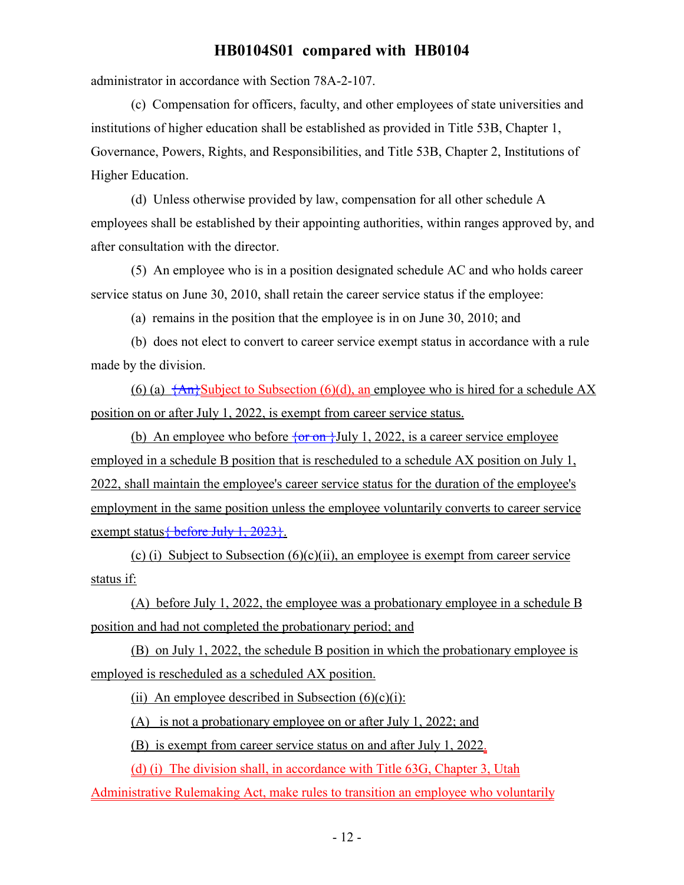administrator in accordance with Section 78A-2-107.

(c) Compensation for officers, faculty, and other employees of state universities and institutions of higher education shall be established as provided in Title 53B, Chapter 1, Governance, Powers, Rights, and Responsibilities, and Title 53B, Chapter 2, Institutions of Higher Education.

(d) Unless otherwise provided by law, compensation for all other schedule A employees shall be established by their appointing authorities, within ranges approved by, and after consultation with the director.

(5) An employee who is in a position designated schedule AC and who holds career service status on June 30, 2010, shall retain the career service status if the employee:

(a) remains in the position that the employee is in on June 30, 2010; and

(b) does not elect to convert to career service exempt status in accordance with a rule made by the division.

(6) (a)  $\frac{4}{3}$  An<sup>3</sup>Subject to Subsection (6)(d), an employee who is hired for a schedule AX position on or after July 1, 2022, is exempt from career service status.

(b) An employee who before  $\{or\ on\}$ July 1, 2022, is a career service employee employed in a schedule B position that is rescheduled to a schedule AX position on July 1, 2022, shall maintain the employee's career service status for the duration of the employee's employment in the same position unless the employee voluntarily converts to career service exempt status  $\frac{1}{2}$  before July 1, 2023 }.

(c) (i) Subject to Subsection  $(6)(c)(ii)$ , an employee is exempt from career service status if:

(A) before July 1, 2022, the employee was a probationary employee in a schedule B position and had not completed the probationary period; and

(B) on July 1, 2022, the schedule B position in which the probationary employee is employed is rescheduled as a scheduled AX position.

(ii) An employee described in Subsection  $(6)(c)(i)$ :

(A) is not a probationary employee on or after July 1, 2022; and

(B) is exempt from career service status on and after July 1, 2022.

(d) (i) The division shall, in accordance with Title 63G, Chapter 3, Utah

Administrative Rulemaking Act, make rules to transition an employee who voluntarily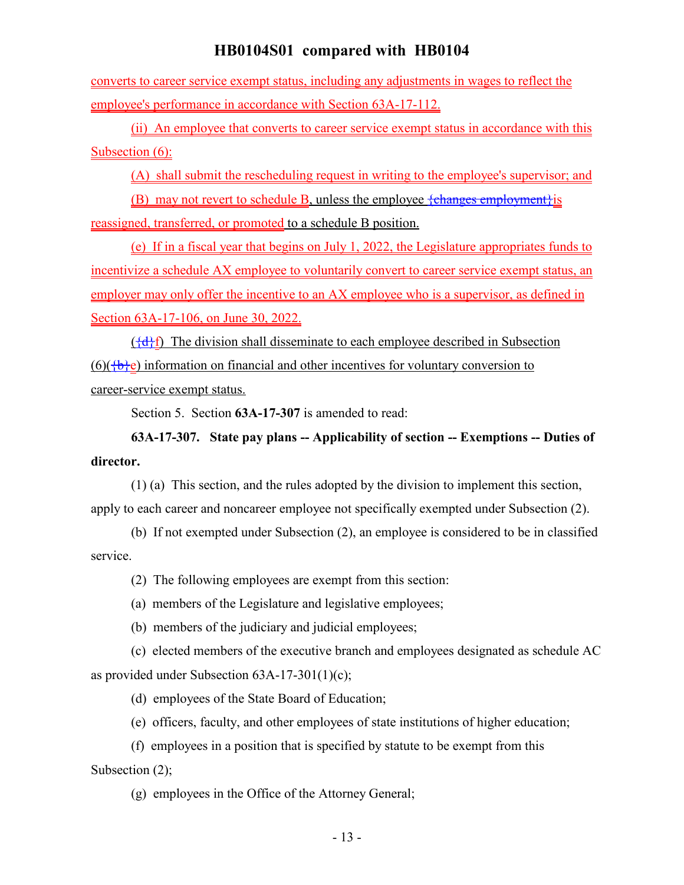converts to career service exempt status, including any adjustments in wages to reflect the employee's performance in accordance with Section 63A-17-112.

(ii) An employee that converts to career service exempt status in accordance with this Subsection (6):

(A) shall submit the rescheduling request in writing to the employee's supervisor; and

(B) may not revert to schedule B, unless the employee  $\{\text{changes employment}\}\$ is reassigned, transferred, or promoted to a schedule B position.

(e) If in a fiscal year that begins on July 1, 2022, the Legislature appropriates funds to incentivize a schedule AX employee to voluntarily convert to career service exempt status, an employer may only offer the incentive to an AX employee who is a supervisor, as defined in Section 63A-17-106, on June 30, 2022.

 $({a}$ <sub>f</sub> ${d}$ <sub>f</sub> $)$  The division shall disseminate to each employee described in Subsection  $(6)(\overline{\text{b}}\text{e})$  information on financial and other incentives for voluntary conversion to career-service exempt status.

Section 5. Section **63A-17-307** is amended to read:

**63A-17-307. State pay plans -- Applicability of section -- Exemptions -- Duties of director.**

(1) (a) This section, and the rules adopted by the division to implement this section, apply to each career and noncareer employee not specifically exempted under Subsection (2).

(b) If not exempted under Subsection (2), an employee is considered to be in classified service.

(2) The following employees are exempt from this section:

(a) members of the Legislature and legislative employees;

(b) members of the judiciary and judicial employees;

(c) elected members of the executive branch and employees designated as schedule AC as provided under Subsection 63A-17-301(1)(c);

(d) employees of the State Board of Education;

(e) officers, faculty, and other employees of state institutions of higher education;

(f) employees in a position that is specified by statute to be exempt from this Subsection (2);

(g) employees in the Office of the Attorney General;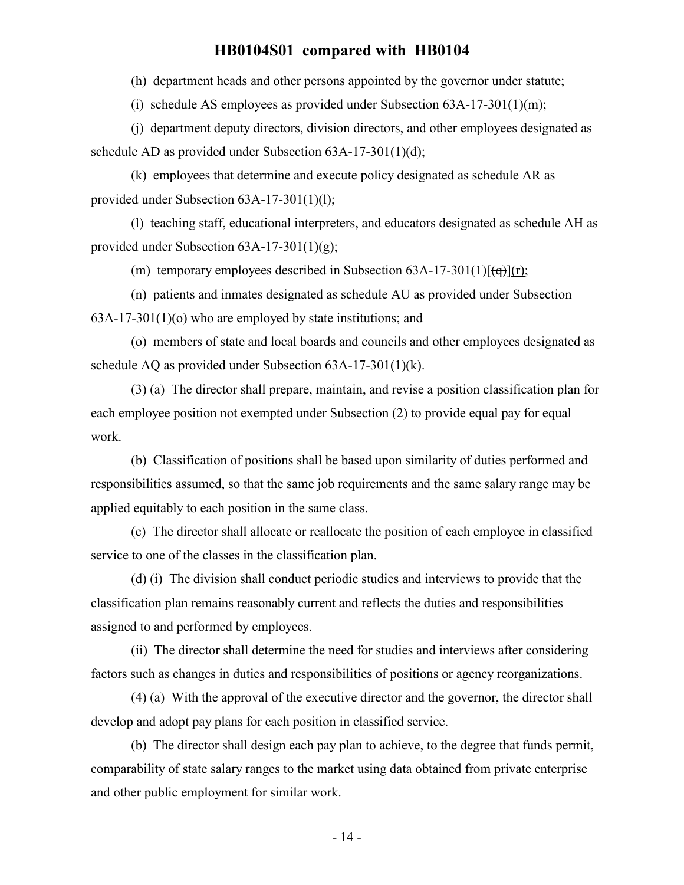(h) department heads and other persons appointed by the governor under statute;

(i) schedule AS employees as provided under Subsection  $63A-17-301(1)(m)$ ;

(j) department deputy directors, division directors, and other employees designated as schedule AD as provided under Subsection 63A-17-301(1)(d);

(k) employees that determine and execute policy designated as schedule AR as provided under Subsection 63A-17-301(1)(l);

(l) teaching staff, educational interpreters, and educators designated as schedule AH as provided under Subsection 63A-17-301(1)(g);

(m) temporary employees described in Subsection  $63A-17-301(1)[(q)](r)$ ;

(n) patients and inmates designated as schedule AU as provided under Subsection 63A-17-301(1)(o) who are employed by state institutions; and

(o) members of state and local boards and councils and other employees designated as schedule AQ as provided under Subsection 63A-17-301(1)(k).

(3) (a) The director shall prepare, maintain, and revise a position classification plan for each employee position not exempted under Subsection (2) to provide equal pay for equal work.

(b) Classification of positions shall be based upon similarity of duties performed and responsibilities assumed, so that the same job requirements and the same salary range may be applied equitably to each position in the same class.

(c) The director shall allocate or reallocate the position of each employee in classified service to one of the classes in the classification plan.

(d) (i) The division shall conduct periodic studies and interviews to provide that the classification plan remains reasonably current and reflects the duties and responsibilities assigned to and performed by employees.

(ii) The director shall determine the need for studies and interviews after considering factors such as changes in duties and responsibilities of positions or agency reorganizations.

(4) (a) With the approval of the executive director and the governor, the director shall develop and adopt pay plans for each position in classified service.

(b) The director shall design each pay plan to achieve, to the degree that funds permit, comparability of state salary ranges to the market using data obtained from private enterprise and other public employment for similar work.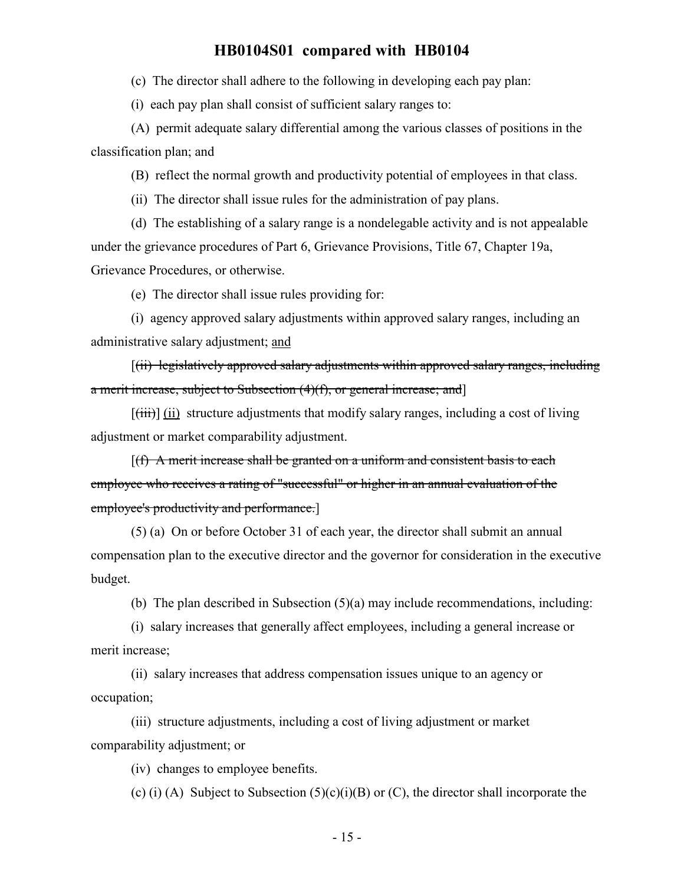(c) The director shall adhere to the following in developing each pay plan:

(i) each pay plan shall consist of sufficient salary ranges to:

(A) permit adequate salary differential among the various classes of positions in the classification plan; and

(B) reflect the normal growth and productivity potential of employees in that class.

(ii) The director shall issue rules for the administration of pay plans.

(d) The establishing of a salary range is a nondelegable activity and is not appealable under the grievance procedures of Part 6, Grievance Provisions, Title 67, Chapter 19a, Grievance Procedures, or otherwise.

(e) The director shall issue rules providing for:

(i) agency approved salary adjustments within approved salary ranges, including an administrative salary adjustment; and

[(ii) legislatively approved salary adjustments within approved salary ranges, including a merit increase, subject to Subsection  $(4)(f)$ , or general increase; and  $\vert$ 

 $[\overline{\text{(iii)}}]$  (ii) structure adjustments that modify salary ranges, including a cost of living adjustment or market comparability adjustment.

 $[(f)$  A merit increase shall be granted on a uniform and consistent basis to each employee who receives a rating of "successful" or higher in an annual evaluation of the employee's productivity and performance.]

(5) (a) On or before October 31 of each year, the director shall submit an annual compensation plan to the executive director and the governor for consideration in the executive budget.

(b) The plan described in Subsection (5)(a) may include recommendations, including:

(i) salary increases that generally affect employees, including a general increase or merit increase;

(ii) salary increases that address compensation issues unique to an agency or occupation;

(iii) structure adjustments, including a cost of living adjustment or market comparability adjustment; or

(iv) changes to employee benefits.

(c) (i) (A) Subject to Subsection  $(5)(c)(i)(B)$  or  $(C)$ , the director shall incorporate the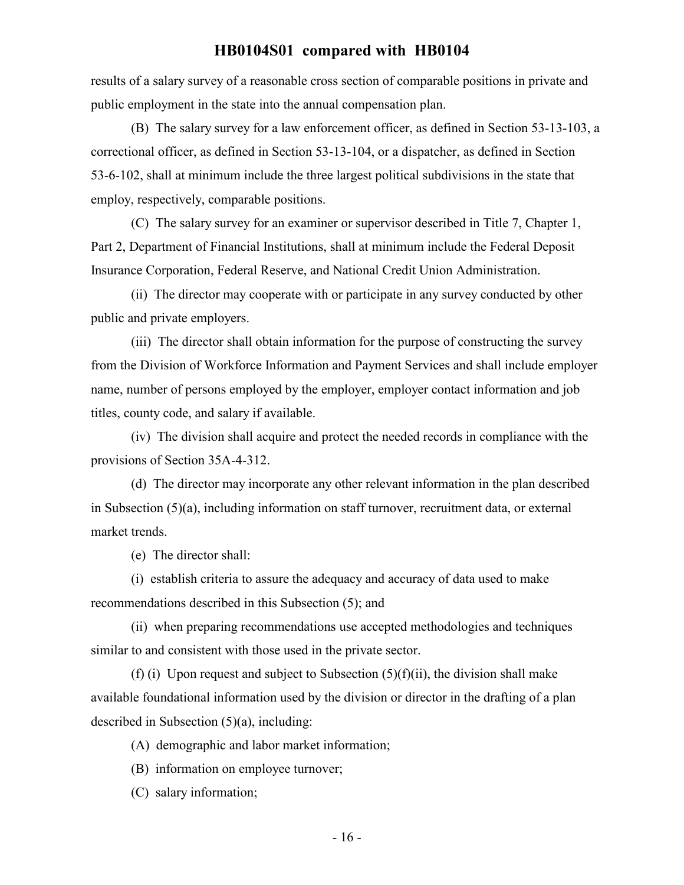results of a salary survey of a reasonable cross section of comparable positions in private and public employment in the state into the annual compensation plan.

(B) The salary survey for a law enforcement officer, as defined in Section 53-13-103, a correctional officer, as defined in Section 53-13-104, or a dispatcher, as defined in Section 53-6-102, shall at minimum include the three largest political subdivisions in the state that employ, respectively, comparable positions.

(C) The salary survey for an examiner or supervisor described in Title 7, Chapter 1, Part 2, Department of Financial Institutions, shall at minimum include the Federal Deposit Insurance Corporation, Federal Reserve, and National Credit Union Administration.

(ii) The director may cooperate with or participate in any survey conducted by other public and private employers.

(iii) The director shall obtain information for the purpose of constructing the survey from the Division of Workforce Information and Payment Services and shall include employer name, number of persons employed by the employer, employer contact information and job titles, county code, and salary if available.

(iv) The division shall acquire and protect the needed records in compliance with the provisions of Section 35A-4-312.

(d) The director may incorporate any other relevant information in the plan described in Subsection (5)(a), including information on staff turnover, recruitment data, or external market trends.

(e) The director shall:

(i) establish criteria to assure the adequacy and accuracy of data used to make recommendations described in this Subsection (5); and

(ii) when preparing recommendations use accepted methodologies and techniques similar to and consistent with those used in the private sector.

(f) (i) Upon request and subject to Subsection  $(5)(f)(ii)$ , the division shall make available foundational information used by the division or director in the drafting of a plan described in Subsection (5)(a), including:

(A) demographic and labor market information;

(B) information on employee turnover;

(C) salary information;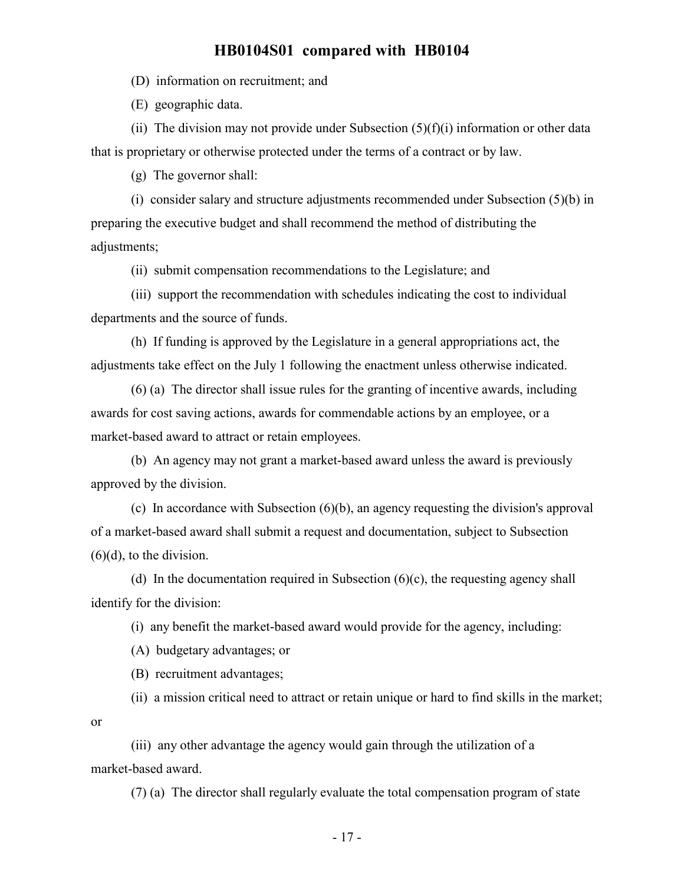(D) information on recruitment; and

(E) geographic data.

(ii) The division may not provide under Subsection  $(5)(f)(i)$  information or other data that is proprietary or otherwise protected under the terms of a contract or by law.

(g) The governor shall:

(i) consider salary and structure adjustments recommended under Subsection (5)(b) in preparing the executive budget and shall recommend the method of distributing the adjustments;

(ii) submit compensation recommendations to the Legislature; and

(iii) support the recommendation with schedules indicating the cost to individual departments and the source of funds.

(h) If funding is approved by the Legislature in a general appropriations act, the adjustments take effect on the July 1 following the enactment unless otherwise indicated.

(6) (a) The director shall issue rules for the granting of incentive awards, including awards for cost saving actions, awards for commendable actions by an employee, or a market-based award to attract or retain employees.

(b) An agency may not grant a market-based award unless the award is previously approved by the division.

(c) In accordance with Subsection (6)(b), an agency requesting the division's approval of a market-based award shall submit a request and documentation, subject to Subsection  $(6)(d)$ , to the division.

(d) In the documentation required in Subsection  $(6)(c)$ , the requesting agency shall identify for the division:

(i) any benefit the market-based award would provide for the agency, including:

(A) budgetary advantages; or

(B) recruitment advantages;

(ii) a mission critical need to attract or retain unique or hard to find skills in the market; or

(iii) any other advantage the agency would gain through the utilization of a market-based award.

(7) (a) The director shall regularly evaluate the total compensation program of state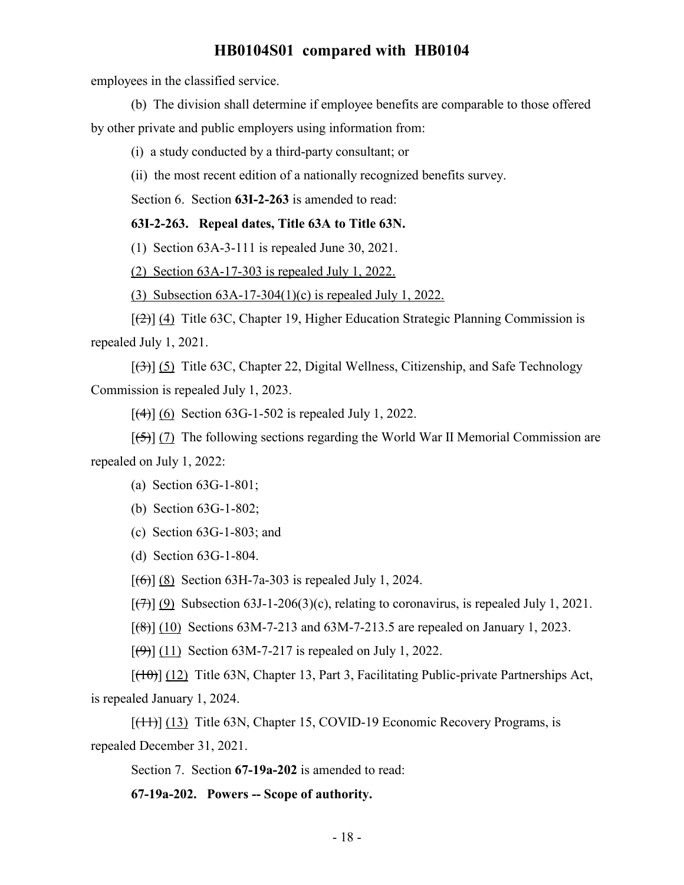employees in the classified service.

(b) The division shall determine if employee benefits are comparable to those offered

by other private and public employers using information from:

(i) a study conducted by a third-party consultant; or

(ii) the most recent edition of a nationally recognized benefits survey.

Section 6. Section **63I-2-263** is amended to read:

### **63I-2-263. Repeal dates, Title 63A to Title 63N.**

(1) Section 63A-3-111 is repealed June 30, 2021.

(2) Section 63A-17-303 is repealed July 1, 2022.

(3) Subsection 63A-17-304(1)(c) is repealed July 1, 2022.

 $[\frac{1}{2}]$  (4) Title 63C, Chapter 19, Higher Education Strategic Planning Commission is repealed July 1, 2021.

[(3)] (5) Title 63C, Chapter 22, Digital Wellness, Citizenship, and Safe Technology Commission is repealed July 1, 2023.

 $[$ (4)] (6) Section 63G-1-502 is repealed July 1, 2022.

 $[5]$  (7) The following sections regarding the World War II Memorial Commission are repealed on July 1, 2022:

- (a) Section 63G-1-801;
- (b) Section 63G-1-802;

(c) Section 63G-1-803; and

(d) Section 63G-1-804.

 $[(6)]$  (8) Section 63H-7a-303 is repealed July 1, 2024.

 $[\overline{(7)}]$  (9) Subsection 63J-1-206(3)(c), relating to coronavirus, is repealed July 1, 2021.

 $[({8}]}(10)$  Sections 63M-7-213 and 63M-7-213.5 are repealed on January 1, 2023.

 $[\left(\frac{4}{9}\right)] (11)$  Section 63M-7-217 is repealed on July 1, 2022.

 $[(10)(12)]$  Title 63N, Chapter 13, Part 3, Facilitating Public-private Partnerships Act, is repealed January 1, 2024.

 $[\text{(+1)}]$  (13) Title 63N, Chapter 15, COVID-19 Economic Recovery Programs, is repealed December 31, 2021.

Section 7. Section **67-19a-202** is amended to read:

**67-19a-202. Powers -- Scope of authority.**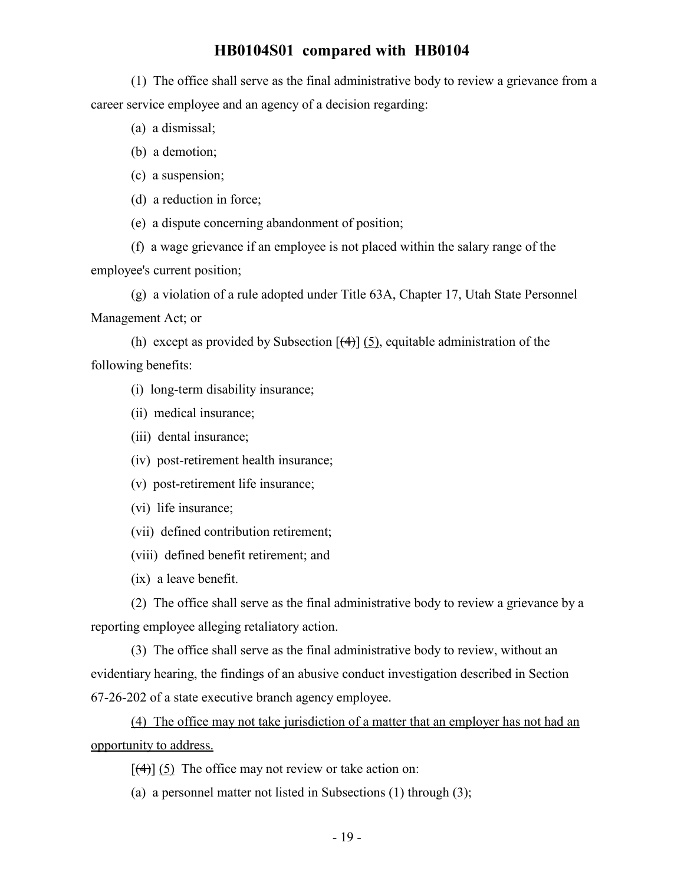(1) The office shall serve as the final administrative body to review a grievance from a career service employee and an agency of a decision regarding:

- (a) a dismissal;
- (b) a demotion;
- (c) a suspension;
- (d) a reduction in force;
- (e) a dispute concerning abandonment of position;

(f) a wage grievance if an employee is not placed within the salary range of the employee's current position;

(g) a violation of a rule adopted under Title 63A, Chapter 17, Utah State Personnel Management Act; or

(h) except as provided by Subsection  $[\frac{4}{3}]$  (5), equitable administration of the following benefits:

- (i) long-term disability insurance;
- (ii) medical insurance;
- (iii) dental insurance;
- (iv) post-retirement health insurance;
- (v) post-retirement life insurance;
- (vi) life insurance;
- (vii) defined contribution retirement;
- (viii) defined benefit retirement; and
- (ix) a leave benefit.

(2) The office shall serve as the final administrative body to review a grievance by a reporting employee alleging retaliatory action.

(3) The office shall serve as the final administrative body to review, without an evidentiary hearing, the findings of an abusive conduct investigation described in Section 67-26-202 of a state executive branch agency employee.

(4) The office may not take jurisdiction of a matter that an employer has not had an opportunity to address.

- $[$ (4)] (5) The office may not review or take action on:
- (a) a personnel matter not listed in Subsections (1) through (3);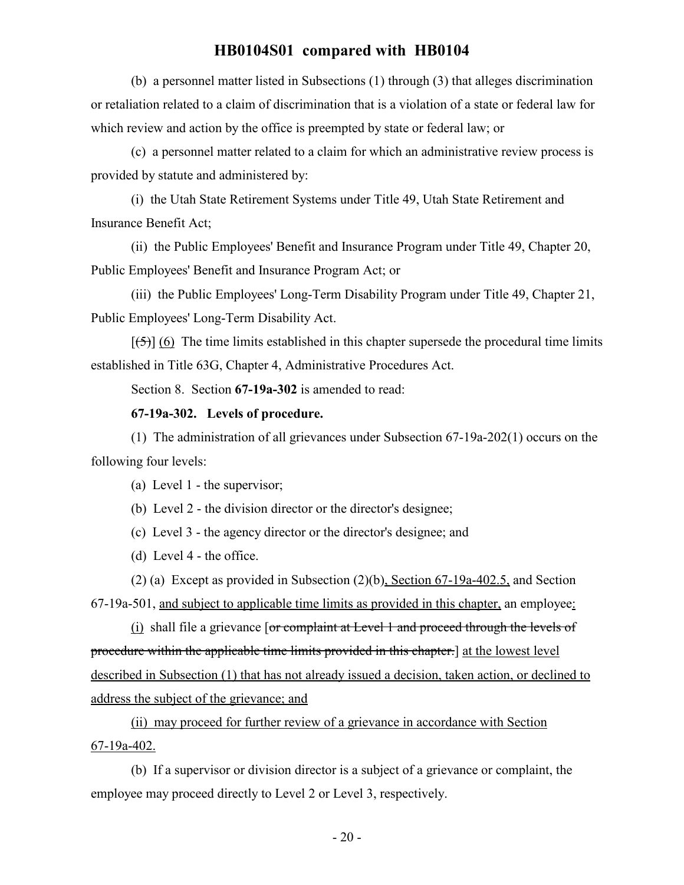(b) a personnel matter listed in Subsections (1) through (3) that alleges discrimination or retaliation related to a claim of discrimination that is a violation of a state or federal law for which review and action by the office is preempted by state or federal law; or

(c) a personnel matter related to a claim for which an administrative review process is provided by statute and administered by:

(i) the Utah State Retirement Systems under Title 49, Utah State Retirement and Insurance Benefit Act;

(ii) the Public Employees' Benefit and Insurance Program under Title 49, Chapter 20, Public Employees' Benefit and Insurance Program Act; or

(iii) the Public Employees' Long-Term Disability Program under Title 49, Chapter 21, Public Employees' Long-Term Disability Act.

 $[\frac{1}{5}]$  (6) The time limits established in this chapter supersede the procedural time limits established in Title 63G, Chapter 4, Administrative Procedures Act.

Section 8. Section **67-19a-302** is amended to read:

### **67-19a-302. Levels of procedure.**

(1) The administration of all grievances under Subsection 67-19a-202(1) occurs on the following four levels:

(a) Level 1 - the supervisor;

(b) Level 2 - the division director or the director's designee;

(c) Level 3 - the agency director or the director's designee; and

(d) Level 4 - the office.

(2) (a) Except as provided in Subsection (2)(b), Section 67-19a-402.5, and Section 67-19a-501, and subject to applicable time limits as provided in this chapter, an employee:

(i) shall file a grievance [or complaint at Level 1 and proceed through the levels of procedure within the applicable time limits provided in this chapter.] at the lowest level described in Subsection (1) that has not already issued a decision, taken action, or declined to address the subject of the grievance; and

(ii) may proceed for further review of a grievance in accordance with Section 67-19a-402.

(b) If a supervisor or division director is a subject of a grievance or complaint, the employee may proceed directly to Level 2 or Level 3, respectively.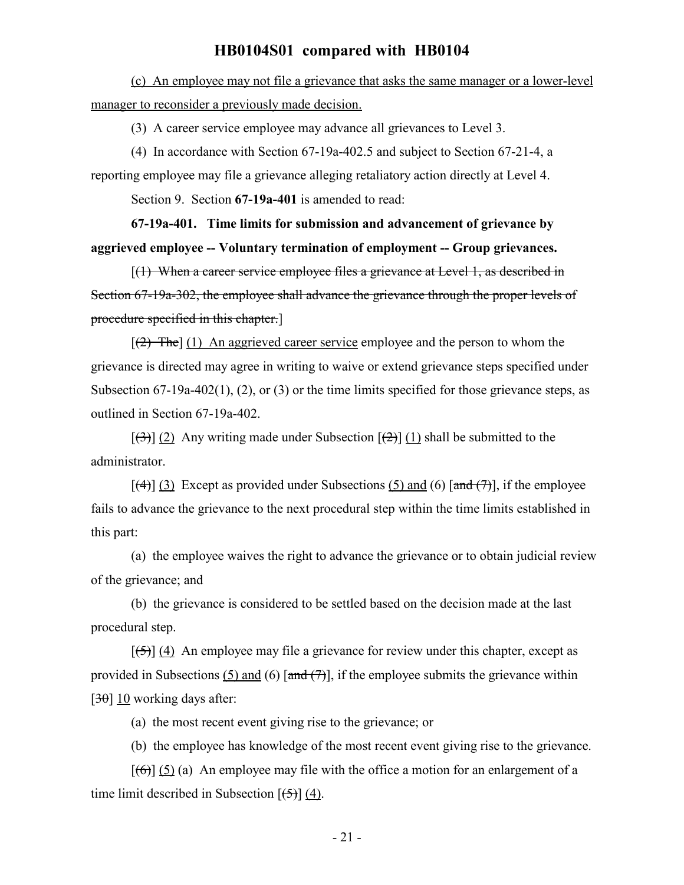(c) An employee may not file a grievance that asks the same manager or a lower-level manager to reconsider a previously made decision.

(3) A career service employee may advance all grievances to Level 3.

(4) In accordance with Section 67-19a-402.5 and subject to Section 67-21-4, a reporting employee may file a grievance alleging retaliatory action directly at Level 4.

Section 9. Section **67-19a-401** is amended to read:

**67-19a-401. Time limits for submission and advancement of grievance by aggrieved employee -- Voluntary termination of employment -- Group grievances.**

 $[(1)$  When a career service employee files a grievance at Level 1, as described in Section 67-19a-302, the employee shall advance the grievance through the proper levels of procedure specified in this chapter.]

 $[2]$  The] (1) An aggrieved career service employee and the person to whom the grievance is directed may agree in writing to waive or extend grievance steps specified under Subsection 67-19a-402(1), (2), or (3) or the time limits specified for those grievance steps, as outlined in Section 67-19a-402.

 $[(3)]$  (2) Any writing made under Subsection  $[(2)]$  (1) shall be submitted to the administrator.

 $[\frac{4}{3}]$  Except as provided under Subsections (5) and (6)  $[\frac{1}{3}]$ , if the employee fails to advance the grievance to the next procedural step within the time limits established in this part:

(a) the employee waives the right to advance the grievance or to obtain judicial review of the grievance; and

(b) the grievance is considered to be settled based on the decision made at the last procedural step.

 $[\frac{1}{2}, \frac{1}{2}]$  (4) An employee may file a grievance for review under this chapter, except as provided in Subsections (5) and (6)  $\left[\frac{and(7)}{7}\right]$ , if the employee submits the grievance within [ $30$ ] 10 working days after:

(a) the most recent event giving rise to the grievance; or

(b) the employee has knowledge of the most recent event giving rise to the grievance.

 $[(6)]$  (5) (a) An employee may file with the office a motion for an enlargement of a time limit described in Subsection  $[\frac{1}{5}]$  (4).